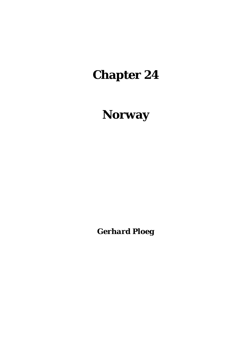# **Chapter 24**

# **Norway**

*Gerhard Ploeg*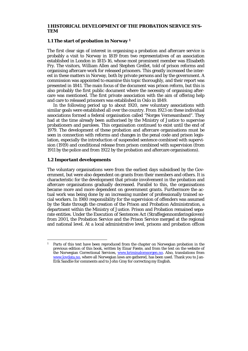#### **1 HISTORICAL DEVELOPMENT OF THE PROBATION SERVICE SYS-TEM**

#### **1.1 The start of probation in Norway 1**

The first clear sign of interest in organising a probation and aftercare service is probably a visit to Norway in 1819 from two representatives of an association established in London in 1815-16, whose most prominent member was Elisabeth Fry. The visitors, William Allen and Stephen Grellet, told of prison reforms and organising aftercare work for released prisoners. This greatly increased the interest in these matters in Norway, both by private persons and by the government. A commission was appointed to examine this topic thoroughly, and their report was presented in 1841. The main focus of the document was prison reform, but this is also probably the first public document where the necessity of organising aftercare was mentioned. The first private association with the aim of offering help and care to released prisoners was established in Oslo in 1849.

 In the following period up to about 1920, new voluntary associations with similar goals were established all over the country. From 1923 on these individual associations formed a federal organisation called "Norges Vernesamband". They had at the time already been authorised by the Ministry of Justice to supervise probationers and parolees. This organisation continued to exist until the end of 1979. The development of these probation and aftercare organisations must be seen in connection with reforms and changes in the penal code and prison legislation, especially the introduction of suspended sentence combined with supervision (1919) and conditional release from prison combined with supervision (from 1911 by the police and from 1922 by the probation and aftercare organisations).

## **1.2 Important developments**

The voluntary organisations were from the earliest days subsidised by the Government, but were also dependent on grants from their members and others. It is characteristic for the development that private involvement in the probation and aftercare organisations gradually decreased. Parallel to this, the organisations became more and more dependent on government grants. Furthermore the actual work was being done by an increasing number of professionally trained social workers. In 1980 responsibility for the supervision of offenders was assumed by the State through the creation of the Prison and Probation Administration, a department within the Ministry of Justice. Prison and Probation remained separate entities. Under the Execution of Sentences Act (Straffegjennomføringsloven) from 2001, the Probation Service and the Prison Service merged at the regional and national level. At a local administrative level, prisons and probation offices

<sup>1</sup> 1 Parts of this text have been reproduced from the chapter on Norwegian probation in the previous edition of this book, written by Einar Fæste, and from the text on the website of the Norwegian Correctional Services, www.kriminalomsorgen.no. Also, translations from www.lovdata.no, where all Norwegian laws are gathered, has been used. Thank you to Jan-Erik Sandlie for comments and to John Gray for correcting my English.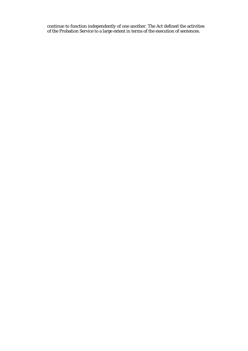continue to function independently of one another. The Act defined the activities of the Probation Service to a large extent in terms of the execution of sentences.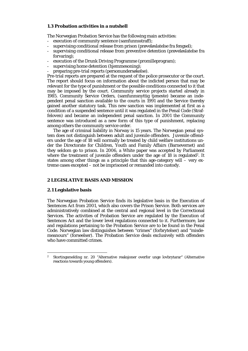## **1.3 Probation activities in a nutshell**

The Norwegian Probation Service has the following main activities:

- execution of community sentence (samfunnsstraff);
- supervising conditional release from prison (prøveløslatelse fra fengsel):
- supervising conditional release from preventive detention (prøveløslatelse fra forvaring);
- execution of the Drunk Driving Programme (promilleprogram);
- supervising home detention (hjemmesoning);
- preparing pre-trial reports (personundersøkelse).

Pre-trial reports are prepared at the request of the police prosecutor or the court. The report should focus on information about the indicted person that may be relevant for the type of punishment or the possible conditions connected to it that may be imposed by the court. Community service projects started already in 1985. Community Service Orders, (samfunnsnyttig tjeneste) became an independent penal sanction available to the courts in 1991 and the Service thereby gained another statutory task. This new sanction was implemented at first as a condition of a suspended sentence until it was regulated in the Penal Code (Straffeloven) and became an independent penal sanction. In 2001 the Community sentence was introduced as a new form of this type of punishment, replacing among others the community service order.

 The age of criminal liability in Norway is 15 years. The Norwegian penal system does not distinguish between adult and juvenile offenders. Juvenile offenders under the age of 18 will normally be treated by child welfare institutions under the Directorate for Children, Youth and Family Affairs (Barnevernet) and they seldom go to prison. In 2006, a White paper was accepted by Parliament where the treatment of juvenile offenders under the age of 18 is regulated<sup>2</sup>. It states among other things as a principle that this age-category will – very extreme cases excepted – not be imprisoned or remanded into custody.

# **2 LEGISLATIVE BASIS AND MISSION**

#### **2.1 Legislative basis**

1

The Norwegian Probation Service finds its legislative basis in the Execution of Sentences Act from 2001, which also covers the Prison Service. Both services are administratively combined at the central and regional level in the Correctional Services. The activities of Probation Service are regulated by the Execution of Sentences Act and the lower level regulations connected to it. Furthermore, law and regulations pertaining to the Probation Service are to be found in the Penal Code. Norwegian law distinguishes between "crimes" (forbrytelser) and "misdemeanours" (forseelser). The Probation Service deals exclusively with offenders who have committed crimes.

<sup>2</sup> Stortingsmelding nr. 20 "Alternative reaksjoner overfor unge lovbrytarar" (Alternative reactions towards young offenders).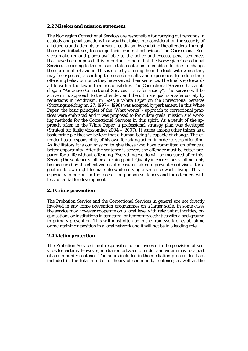# **2.2 Mission and mission statement**

The Norwegian Correctional Services are responsible for carrying out remands in custody and penal sanctions in a way that takes into consideration the security of all citizens and attempts to prevent recidivism by enabling the offenders, through their own initiatives, to change their criminal behaviour. The Correctional Services make remand places available to the police and execute penal sentences that have been imposed. It is important to note that the Norwegian Correctional Services according to this mission statement aims to enable offenders to change their criminal behaviour. This is done by offering them the tools with which they may be expected, according to research results and experience, to reduce their offending behaviour once they have served their sentence. The final step towards a life within the law is their responsibility. The Correctional Services has as its slogan: "An active Correctional Services  $-$  a safer society". The service will be active in its approach to the offender, and the ultimate goal is a safer society by reductions in recidivism. In 1997, a White Paper on the Correctional Services (Stortingsmelding nr. 27, 1997 – 1998) was accepted by parliament. In this White Paper, the basic principles of the "What works" - approach to correctional practices were embraced and it was proposed to formulate goals, mission and working methods for the Correctional Services in this spirit. As a result of the approach taken in the White Paper, a professional strategy plan was developed (Strategi for faglig virksomhet  $2004 - 2007$ ). It states among other things as a basic principle that we believe that a human being is capable of change. The offender has a responsibility of his own for taking action in order to stop offending. As facilitators it is our mission to give those who have committed an offence a better opportunity. After the sentence is served, the offender must be better prepared for a life without offending. Everything we do will be measured after this. Serving the sentence shall be a turning point. Quality in corrections shall not only be measured by the effectiveness of measures taken to prevent recidivism. It is a goal in its own right to male life while serving a sentence worth living. This is especially important in the case of long prison sentences and for offenders with less potential for development.

# **2.3 Crime prevention**

The Probation Service and the Correctional Services in general are not directly involved in any crime prevention programmes on a larger scale. In some cases the service may however cooperate on a local level with relevant authorities, organisations or institutions in structural or temporary activities with a background in primary prevention. This will most often be in the framework of establishing or maintaining a position in a local network and it will not be in a leading role.

# **2.4 Victim protection**

The Probation Service is not responsible for or involved in the provision of services for victims. However, mediation between offender and victim may be a part of a community sentence. The hours included in the mediation process itself are included in the total number of hours of community sentence, as well as the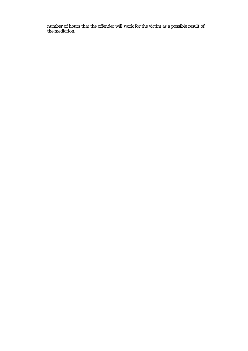number of hours that the offender will work for the victim as a possible result of the mediation.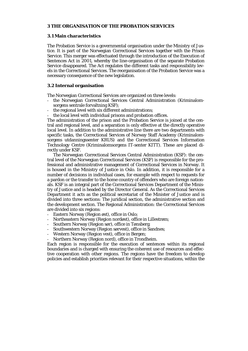#### **3 THE ORGANISATION OF THE PROBATION SERVICES**

#### **3.1 Main characteristics**

The Probation Service is a governmental organisation under the Ministry of Justice. It is part of the Norwegian Correctional Services together with the Prison Service. This merger was effectuated through the introduction of the Execution of Sentences Act in 2001, whereby the line-organisation of the separate Probation Service disappeared. The Act regulates the different tasks and responsibility levels in the Correctional Services. The reorganisation of the Probation Service was a necessary consequence of the new legislation.

## **3.2 Internal organisation**

The Norwegian Correctional Services are organized on three levels:

- the Norwegian Correctional Services Central Administration (Kriminalomsorgens sentrale forvaltning KSF);
- the regional level with six different administrations;
- the local level with individual prisons and probation offices.

The administration of the prison and the Probation Service is joined at the central and regional level, and a separation is only effective at the directly operative local level. In addition to the administrative line there are two departments with specific tasks, the Correctional Services of Norway Staff Academy (Kriminalomsorgens utdanningssenter KRUS) and the Correctional Services Information Technology Centre (Kriminalomsorgens IT-senter KITT). These are placed directly under KSF.

 The Norwegian Correctional Services Central Administration (KSF): the central level of the Norwegian Correctional Services (KSF) is responsible for the professional and administrative management of Correctional Services in Norway. It is housed in the Ministry of Justice in Oslo. In addition, it is responsible for a number of decisions in individual cases, for example with respect to requests for a pardon or the transfer to the home country of offenders who are foreign nationals. KSF is an integral part of the Correctional Services Department of the Ministry of Justice and is headed by the Director General. As the Correctional Services Department it acts as the political secretariat of the Minister of Justice and is divided into three sections: The juridical section, the administrative section and the development section. The Regional Administration: the Correctional Services are divided into six regions:

- Eastern Norway (Region øst), office in Oslo;
- Northeastern Norway (Region nordøst), office in Lillestrøm;
- Southern Norway (Region sør), office in Tønsberg;
- Southwestern Norway (Region sørvest), office in Sandnes;
- Western Norway (Region vest), office in Bergen;
- Northern Norway (Region nord), office in Trondheim.

Each region is responsible for the execution of sentences within its regional boundaries and is charged with ensuring the coherent use of resources and effective cooperation with other regions. The regions have the freedom to develop policies and establish priorities relevant for their respective situations, within the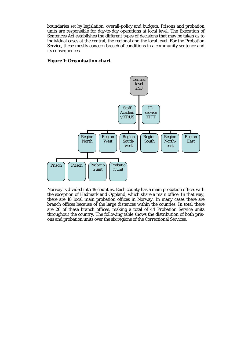boundaries set by legislation, overall-policy and budgets. Prisons and probation units are responsible for day-to-day operations at local level. The Execution of Sentences Act establishes the different types of decisions that may be taken as to individual cases at the central, the regional and the local level. For the Probation Service, these mostly concern breach of conditions in a community sentence and its consequences.

## **Figure 1: Organisation chart**



Norway is divided into 19 counties. Each county has a main probation office, with the exception of Hedmark and Oppland, which share a main office. In that way, there are 18 local main probation offices in Norway. In many cases there are branch offices because of the large distances within the counties. In total there are 26 of these branch offices, making a total of 44 Probation Service units throughout the country. The following table shows the distribution of both prisons and probation units over the six regions of the Correctional Services.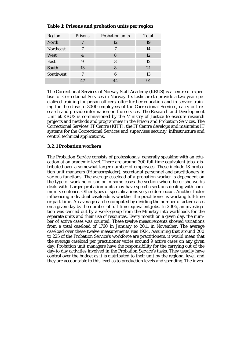| Region           | Prisons | <b>Probation units</b> | <b>Total</b> |
|------------------|---------|------------------------|--------------|
| <b>North</b>     | 7       | 12                     | 19           |
| <b>Northeast</b> | 7       | 7                      | 14           |
| <b>West</b>      | 4       | 8                      | 12           |
| East             | 9       | 3                      | 12           |
| South            | 13      | 8                      | 21           |
| Southwest        |         | 6                      | 13           |
|                  | 47      | 14                     | 91           |

# **Table 1: Prisons and probation units per region**

The Correctional Services of Norway Staff Academy (KRUS) is a centre of expertise for Correctional Services in Norway. Its tasks are to provide a two-year specialized training for prison-officers, offer further education and in-service training for the close to 3000 employees of the Correctional Services, carry out research and provide information on the services. The Research and Development Unit at KRUS is commissioned by the Ministry of Justice to execute research projects and methods and programmes in the Prison and Probation Services. The Correctional Services' IT Centre (KITT): the IT Centre develops and maintains IT systems for the Correctional Services and supervises security, infrastructure and central technical applications.

# **3.2.1 Probation workers**

The Probation Service consists of professionals, generally speaking with an education at an academic level. There are around 300 full-time equivalent jobs, distributed over a somewhat larger number of employees. These include 18 probation unit managers (friomsorgsleder), secretarial personnel and practitioners in various functions. The average caseload of a probation worker is dependent on the type of work he or she or in some cases the section where he or she works deals with. Larger probation units may have specific sections dealing with community sentence. Other types of specialisations very seldom occur. Another factor influencing individual caseloads is whether the practitioner is working full-time or part-time. An average can be computed by dividing the number of active cases on a given day by the number of full-time equivalent jobs. In 2005, an investigation was carried out by a work-group from the Ministry into workloads for the separate units and their use of resources. Every month on a given day, the number of active cases was counted. These twelve measurements showed variations from a total caseload of 1760 in January to 2011 in November. The average caseload over these twelve measurements was 1924. Assuming that around 200 to 225 of the Probation Service's workforce are practitioners, it would mean that the average caseload per practitioner varies around 9 active cases on any given day. Probation unit managers have the responsibility for the carrying out of the day-to day activities involved in the Probation Service's tasks. They usually have control over the budget as it is distributed to their unit by the regional level, and they are accountable to this level as to production levels and spending. The inves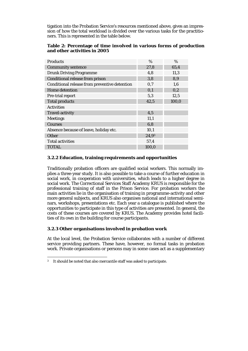tigation into the Probation Service's resources mentioned above, gives an impression of how the total workload is divided over the various tasks for the practitioners. This is represented in the table below.

# **Table 2: Percentage of time involved in various forms of production and other activities in 2005**

| <b>Products</b>                               | $\%$  | $\%$  |
|-----------------------------------------------|-------|-------|
| <b>Community sentence</b>                     | 27,8  | 65,4  |
| <b>Drunk Driving Programme</b>                | 4,8   | 11,3  |
| <b>Conditional release from prison</b>        | 3,8   | 8,9   |
| Conditional release from preventive detention | 0,7   | 1,6   |
| <b>Home detention</b>                         | 0,1   | 0,2   |
| Pre-trial report                              | 5,3   | 12,5  |
| <b>Total products</b>                         | 42,5  | 100,0 |
| <b>Activities</b>                             |       |       |
| <b>Travel-activity</b>                        | 4,5   |       |
| <b>Meetings</b>                               | 11,1  |       |
| <b>Courses</b>                                | 6,8   |       |
| Absence because of leave, holiday etc.        | 10,1  |       |
| Other                                         | 24,93 |       |
| <b>Total activities</b>                       | 57,4  |       |
| <b>TOTAL</b>                                  | 100,0 |       |

# **3.2.2 Education, training requirements and opportunities**

Traditionally probation officers are qualified social workers. This normally implies a three-year study. It is also possible to take a course of further education in social work, in cooperation with universities, which leads to a higher degree in social work. The Correctional Services Staff Academy KRUS is responsible for the professional training of staff in the Prison Service. For probation workers the main activities lie in the organisation of training in programme-activity and other more general subjects, and KRUS also organises national and international seminars, workshops, presentations etc. Each year a catalogue is published where the opportunities to participate in this type of activities are presented. In general, the costs of these courses are covered by KRUS. The Academy provides hotel facilities of its own in the building for course participants.

# **3.2.3 Other organisations involved in probation work**

At the local level, the Probation Service collaborates with a number of different service providing partners. These have, however, no formal tasks in probation work. Private organisations or persons may in some cases act as a supplementary

<sup>1</sup> <sup>3</sup> It should be noted that also mercantile staff was asked to participate.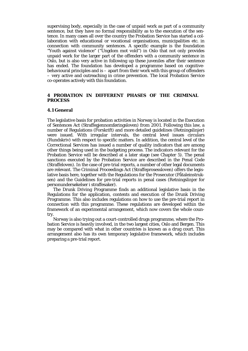supervising body, especially in the case of unpaid work as part of a community sentence, but they have no formal responsibility as to the execution of the sentence. In many cases all over the country the Probation Service has started a collaboration with educational or vocational organisations, municipalities etc. in connection with community sentences. A specific example is the foundation "Youth against violence" ("Ungdom mot vold") in Oslo that not only provides unpaid work for the larger part of the offenders with a community sentence in Oslo, but is also very active in following up these juveniles after their sentence has ended. The foundation has developed a programme based on cognitivebehavioural principles and is – apart from their work with this group of offenders – very active and outreaching in crime prevention. The local Probation Service co-operates actively with this foundation.

# **4 PROBATION IN DIFFERENT PHASES OF THE CRIMINAL PROCESS**

#### **4.1 General**

The legislative basis for probation activities in Norway is located in the Execution of Sentences Act (Straffegjennomføringsloven) from 2001. Following this law, a number of Regulations (Forskrift) and more detailed guidelines (Retningslinjer) were issued. With irregular intervals, the central level issues circulars (Rundskriv) with respect to specific matters. In addition, the central level of the Correctional Services has issued a number of quality indicators that are among other things being used in the budgeting process. The indicators relevant for the Probation Service will be described at a later stage (see Chapter 5). The penal sanctions executed by the Probation Service are described in the Penal Code (Straffeloven). In the case of pre-trial reports, a number of other legal documents are relevant. The Criminal Proceedings Act (Straffeprosessloven) offers the legislative basis here, together with the Regulations for the Prosecutor (Påtaleinstruksen) and the Guidelines for pre-trial reports in penal cases (Retningslinjer for personundersøkelser i straffesaker).

 The Drunk Driving Programme finds an additional legislative basis in the Regulations for the application, contents and execution of the Drunk Driving Programme. This also includes regulations on how to use the pre-trial report in connection with this programme. These regulations are developed within the framework of an experimental arrangement, which now covers the whole country.

 Norway is also trying out a court-controlled drugs programme, where the Probation Service is heavily involved, in the two largest cities, Oslo and Bergen. This may be compared with what in other countries is known as a drug court. This arrangement also has its own temporary legislative framework, which includes preparing a pre-trial report.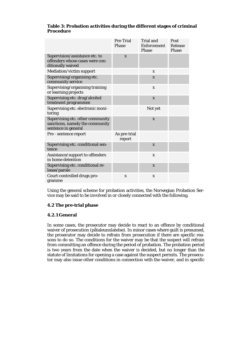|                                                                                            | Pre-Trial<br><b>Phase</b> | <b>Trial and</b><br>Enforcement<br><b>Phase</b> | Post<br>Release<br>Phase |
|--------------------------------------------------------------------------------------------|---------------------------|-------------------------------------------------|--------------------------|
| Supervision/assistance etc. to<br>offenders whose cases were con-<br>ditionally waived     | $\mathbf{x}$              |                                                 |                          |
| Mediation/victim support                                                                   |                           | X                                               |                          |
| Supervising/organising etc.<br>community service                                           |                           | $\mathbf{x}$                                    |                          |
| Supervising/organising training<br>or learning projects                                    |                           | $\mathbf{x}$                                    |                          |
| Supervising etc. drug/alcohol<br>treatment programmes                                      |                           | $\mathbf x$                                     |                          |
| Supervising etc. electronic moni-<br>toring                                                |                           | Not yet                                         |                          |
| Supervising etc. other community<br>sanctions, namely the community<br>sentence in general |                           | $\mathbf{x}$                                    |                          |
| Pre - sentence report                                                                      | As pre-trial<br>report    |                                                 |                          |
| Supervising etc. conditional sen-<br>tence                                                 |                           | $\mathbf{x}$                                    |                          |
| Assistance/support to offenders<br>in home detention                                       |                           | $\mathbf x$                                     |                          |
| Supervising etc. conditional re-<br>lease/parole                                           |                           | $\mathbf x$                                     |                          |
| Court-controlled drugs pro-<br>gramme                                                      | X                         | X                                               |                          |

# **Table 3: Probation activities during the different stages of criminal Procedure**

Using the general scheme for probation activities, the Norwegian Probation Service may be said to be involved in or closely connected with the following.

# **4.2 The pre-trial phase**

# **4.2.1 General**

In some cases, the prosecutor may decide to react to an offence by conditional waiver of prosecution (påtaleunnlatelse). In minor cases where guilt is presumed, the prosecutor may decide to refrain from prosecution if there are specific reasons to do so. The conditions for the waiver may be that the suspect will refrain from committing an offence during the period of probation. The probation period is two years from the date when the waiver is decided, but no longer than the statute of limitations for opening a case against the suspect permits. The prosecutor may also issue other conditions in connection with the waiver, and in specific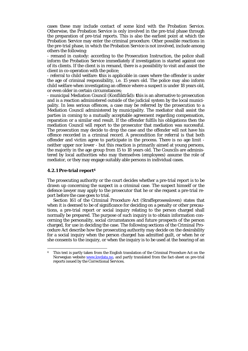cases these may include contact of some kind with the Probation Service. Otherwise, the Probation Service is only involved in the pre-trial phase through the preparation of pre-trial reports. This is also the earliest point at which the Probation Service may enter the criminal procedure. Other possible reactions in the pre-trial phase, in which the Probation Service is not involved, include among others the following:

- remand in custody: according to the Prosecution Instruction, the police shall inform the Probation Service immediately if investigation is started against one of its clients. If the client is in remand, there is a possibility to visit and assist the client in co-operation with the police;

- referral to child welfare: **t**his is applicable in cases where the offender is under the age of criminal responsibility, i.e. 15 years old. The police may also inform child welfare when investigating an offence where a suspect is under 18 years old, or even older in certain circumstances;

- municipal Mediation Council (Konfliktråd)**: t**his is an alternative to prosecution and is a reaction administered outside of the judicial system by the local municipality. In less serious offences, a case may be referred by the prosecution to a Mediation Council administered by municipality. The mediator shall assist the parties in coming to a mutually acceptable agreement regarding compensation, reparation or a similar end result. If the offender fulfils his obligations then the mediation Council will report to the prosecutor that mediation was successful. The prosecution may decide to drop the case and the offender will not have his offence recorded in a criminal record. A precondition for referral is that both offender and victim agree to participate in the process. There is no age limit neither upper nor lower - but this reaction is primarily aimed at young persons, the majority in the age group from 15 to 18 years old. The Councils are administered by local authorities who may themselves (employees) assume the role of mediator, or they may engage suitably able persons in individual cases.

#### **4.2.1 Pre-trial report4**

1

The prosecuting authority or the court decides whether a pre-trial report is to be drawn up concerning the suspect in a criminal case. The suspect himself or the defence lawyer may apply to the prosecutor that he or she request a pre-trial report before the case goes to trial.

 Section 161 of the Criminal Procedure Act (Straffeprosessloven) states that when it is deemed to be of significance for deciding on a penalty or other precautions, a pre-trial report or social inquiry relating to the person charged shall normally be prepared. The purpose of such inquiry is to obtain information concerning the personality, social circumstances and future prospects of the person charged, for use in deciding the case. The following sections of the Criminal Procedure Act describe how the prosecuting authority may decide on the desirability for a social inquiry when the person charged has admitted guilt, or when he or she consents to the inquiry, or when the inquiry is to be used at the hearing of an

<sup>4</sup> This text is partly taken from the English translation of the Criminal Procedure Act on the Norwegian website www.lovdata.no, and partly translated from the fact-sheet on pre-trial reports issued by the Correctional Services.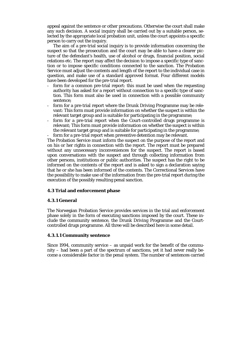appeal against the sentence or other precautions. Otherwise the court shall make any such decision. A social inquiry shall be carried out by a suitable person, selected by the appropriate local probation unit, unless the court appoints a specific person to carry out the inquiry.

 The aim of a pre-trial social inquiry is to provide information concerning the suspect so that the prosecution and the court may be able to have a clearer picture of the defendant's health, use of alcohol or drugs, financial position, social relations etc. The report may affect the decision to impose a specific type of sanction or to impose specific conditions connected to the sanction. The Probation Service must adjust the contents and length of the report to the individual case in question, and make use of a standard approved format. Four different models have been developed for the pre-trial report.

- form for a common pre-trial report: this must be used when the requesting authority has asked for a report without connection to a specific type of sanction. This form must also be used in connection with a possible community sentence;
- form for a pre-trial report where the Drunk Driving Programme may be relevant: This form must provide information on whether the suspect is within the relevant target group and is suitable for participating in the programme;
- form for a pre-trial report when the Court-controlled drugs programme is relevant; This form must provide information on whether the suspect is within the relevant target group and is suitable for participating in the programme;
- form for a pre-trial report when preventive detention may be relevant.

The Probation Service must inform the suspect on the purpose of the report and on his or her rights in connection with the report. The report must be prepared without any unnecessary inconveniences for the suspect. The report is based upon conversations with the suspect and through collecting information from other persons, institutions or public authorities. The suspect has the right to be informed on the contents of the report and is asked to sign a declaration saying that he or she has been informed of the contents. The Correctional Services have the possibility to make use of the information from the pre-trial report during the execution of the possibly resulting penal sanction.

# **4.3 Trial and enforcement phase**

# **4.3.1 General**

The Norwegian Probation Service provides services in the trial and enforcement phase solely in the form of executing sanctions imposed by the court. These include the community sentence, the Drunk Driving Programme and the Courtcontrolled drugs programme. All three will be described here in some detail.

# **4.3.1.1 Community sentence**

Since 1994, community service – as unpaid work for the benefit of the community – had been a part of the spectrum of sanctions, yet it had never really become a considerable factor in the penal system. The number of sentences carried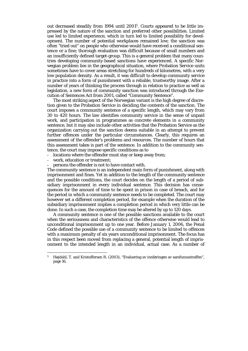out decreased steadily from 1994 until 20015. Courts appeared to be little impressed by the nature of the sanction and preferred other possibilities. Limited use led to limited experience, which in turn led to limited possibility for development. The number of potential workplaces remained low; the sanction was often "tried out" on people who otherwise would have received a conditional sentence or a fine; thorough evaluation was difficult because of small numbers and an insufficiently defined target-group. This is a general problem that many countries developing community-based sanctions have experienced. A specific Norwegian problem lies in the geographical situation, where Probation Service units sometimes have to cover areas stretching for hundreds of kilometres, with a very low population density. As a result, it was difficult to develop community service in practice into a form of punishment with a reliable, trustworthy image. After a number of years of thinking the process through in relation to practice as well as legislation, a new form of community sanction was introduced through the Execution of Sentences Act from 2001, called "Community Sentence".

 The most striking aspect of the Norwegian variant is the high degree of discretion given to the Probation Service in deciding the contents of the sanction. The court imposes a community sentence of a specific length, which may vary from 30 to 420 hours. The law identifies community service in the sense of unpaid work, and participation in programmes as concrete elements in a community sentence, but it may also include other activities that the Probation Service as the organization carrying out the sanction deems suitable in an attempt to prevent further offences under the particular circumstances. Clearly, this requires an assessment of the offender's problems and resources. The number of hours that this assessment takes is part of the sentence. In addition to the community sentence, the court may impose specific conditions as to

- locations where the offender must stay or keep away from;
- work, education or treatment;

1

persons the offender is not to have contact with.

The community sentence is an independent main form of punishment, along with imprisonment and fines. Yet in addition to the length of the community sentence and the possible conditions, the court decides on the length of a period of subsidiary imprisonment in every individual sentence. This decision has consequences for the amount of time to be spent in prison in case of breach, and for the period in which a community sentence needs to be completed. The court may however set a different completion period, for example when the duration of the subsidiary imprisonment implies a completion period in which very little can be done. In such a case, the completion time may be altered by up to 120 days.

 A community sentence is one of the possible sanctions available to the court when the seriousness and characteristics of the offence otherwise would lead to unconditional imprisonment up to one year. Before January 1, 2006, the Penal Code defined the possible use of a community sentence to be limited to offences with a maximum penalty of six years unconditional imprisonment. The focus has in this respect been moved from replacing a general, potential length of imprisonment to the intended length in an individual, actual case. As a number of

<sup>5</sup> Højdahl, T. and Kristoffersen R. (2003), "Evaluering av innføringen av samfunnsstraffen", page 16.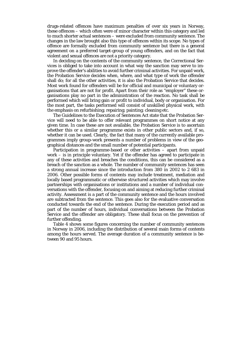drugs-related offences have maximum penalties of over six years in Norway, these offences – which often were of minor character within this category and led to much shorter actual sentences – were excluded from community sentence. The changes in the law brought also this type of offences within its scope. No types of offence are formally excluded from community sentence but there is a general agreement on a preferred target-group of young offenders, and on the fact that violent and sexual offences are not a priority category.

 In deciding on the contents of the community sentence, the Correctional Services is obliged to take into account in what way the sanction may serve to improve the offender's abilities to avoid further criminal activities. For unpaid work, the Probation Service decides when, where, and what type of work the offender shall do; for all the other activities, it is also the Probation Service that decides. Most work found for offenders will be for official and municipal or voluntary organisations that are not for profit. Apart from their role as "employer" these organisations play no part in the administration of the reaction. No task shall be performed which will bring gain or profit to individual, body or organisation. For the most part, the tasks performed will consist of unskilled physical work, with the emphasis on refurbishing; repairing; painting; cleaning etc.

 The Guidelines to the Execution of Sentences Act state that the Probation Service will need to be able to offer relevant programmes on short notice at any given time. In case these are not available, the Probation Service is to ascertain whether this or a similar programme exists in other public sectors and, if so, whether it can be used. Clearly, the fact that many of the currently available programmes imply group-work presents a number of problems in view of the geographical distances and the small number of potential participants.

 Participation in programme-based or other activities – apart from unpaid work – is in principle voluntary. Yet if the offender has agreed to participate in any of these activities and breaches the conditions, this can be considered as a breach of the sanction as a whole. The number of community sentences has seen a strong annual increase since the introduction from 380 in 2002 to 2 683 in 2006. Other possible forms of contents may include treatment, mediation and locally based programmatic or otherwise structured activities which may involve partnerships with organisations or institutions and a number of individual conversations with the offender, focusing on and aiming at reducing further criminal activity. Assessment is a part of the community sentence and the hours involved are subtracted from the sentence. This goes also for the evaluative conversation conducted towards the end of the sentence. During the execution period and as part of the number of hours, individual conversations between the Probation Service and the offender are obligatory. These shall focus on the prevention of further offending.

 Table 4 shows some figures concerning the number of community sentences in Norway in 2006, including the distribution of several main forms of contents among the hours served. The average duration of a community sentence is between 90 and 95 hours.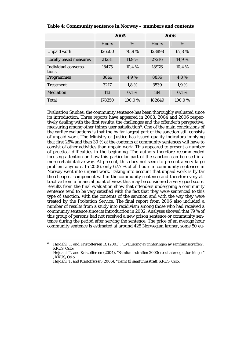|                               | 2005         |        | 2006         |        |
|-------------------------------|--------------|--------|--------------|--------|
|                               | <b>Hours</b> | %      | <b>Hours</b> | %      |
| Unpaid work                   | 126500       | 70,9%  | 123898       | 67,8%  |
| <b>Locally based measures</b> | 21231        | 11,9%  | 27216        | 14,9%  |
| Individual conversa-<br>tions | 18475        | 10,4%  | 18976        | 10,4%  |
| <b>Programmes</b>             | 8814         | 4,9%   | 8836         | 4,8%   |
| <b>Treatment</b>              | 3217         | 1,8%   | 3539         | 1,9%   |
| <b>Mediation</b>              | 113          | 0,1%   | 184          | 0.1%   |
| Total                         | 178350       | 100.0% | 182649       | 100,0% |

#### **Table 4: Community sentence in Norway – numbers and contents**

Evaluation Studies: the community sentence has been thoroughly evaluated since its introduction. Three reports have appeared in 2003, 2004 and 2006 respectively dealing with the first results, the challenges and the offender's perspective, measuring among other things user satisfaction<sup>6</sup>. One of the main conclusions of the earlier evaluations is that the by far largest part of the sanction still consists of unpaid work. The Ministry of Justice has issued quality indicators implying that first 25% and then 30 % of the contents of community sentences will have to consist of other activities than unpaid work. This appeared to present a number of practical difficulties in the beginning. The authors therefore recommended focusing attention on how this particular part of the sanction can be used in a more rehabilitative way. At present, this does not seem to present a very large problem anymore. In 2006, only 67.7 % of all hours in community sentences in Norway went into unpaid work. Taking into account that unpaid work is by far the cheapest component within the community sentence and therefore very attractive from a financial point of view, this may be considered a very good score. Results from the final evaluation show that offenders undergoing a community sentence tend to be very satisfied with the fact that they were sentenced to this type of sanction, with the contents of the sanction and with the way they were treated by the Probation Service. The final report from 2006 also included a number of results from a study into recidivism among those who had received a community sentence since its introduction in 2002. Analyses showed that 79 % of this group of persons had not received a new prison sentence or community sentence during the period after serving the sentence. The price of an average hour community sentence is estimated at around 425 Norwegian kroner, some 50 eu-

1

<sup>6</sup> Højdahl, T. and Kristoffersen R. (2003), "Evaluering av innføringen av samfunnsstraffen", KRUS, Oslo;

Højdahl, T. and Kristoffersen (2004), "Samfunnsstraffen 2003; resultater og utfordringer" , KRUS, Oslo.

Højdahl, T. and Kristoffersen (2006), "Dømt til samfunnsstraff. KRUS, Oslo.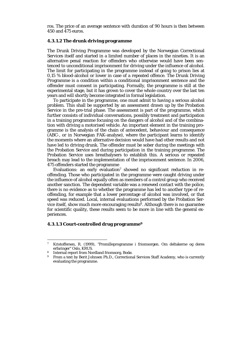ros. The price of an average sentence with duration of 90 hours is then between 450 and 475 euros.

#### **4.3.1.2 The drunk driving programme**

The Drunk Driving Programme was developed by the Norwegian Correctional Services itself and started in a limited number of places in the nineties. It is an alternative penal reaction for offenders who otherwise would have been sentenced to unconditional imprisonment for driving under the influence of alcohol. The limit for participating in the programme instead of going to prison lies at 0,15 % blood-alcohol or lower in case of a repeated offence. The Drunk Driving Programme is a condition within a conditional imprisonment sentence and the offender must consent in participating. Formally, the programme is still at the experimental stage, but it has grown to cover the whole country over the last ten years and will shortly become integrated in formal legislation.

 To participate in the programme, one must admit to having a serious alcohol problem. This shall be supported by an assessment drawn up by the Probation Service in the pre-trial phase. The assessment is part of the programme, which further consists of individual conversations, possibly treatment and participation in a training programme focusing on the dangers of alcohol and of the combination with driving a motorised vehicle. An important element in the training programme is the analysis of the chain of antecedent, behaviour and consequence (ABC-, or in Norwegian FAK-analyse), where the participant learns to identify the moments where an alternative decision would have had other results and not have led to driving drunk. The offender must be sober during the meetings with the Probation Service and during participation in the training programme. The Probation Service uses breathalysers to establish this. A serious or repeated breach may lead to the implementation of the imprisonment sentence. In 2006, 475 offenders started the programme

Evaluations: an early evaluation<sup>7</sup> showed no significant reduction in reoffending. Those who participated in the programme were caught driving under the influence of alcohol equally often as members of a control group who received another sanction. The dependent variable was a renewed contact with the police, there is no evidence as to whether the programme has led to another type of reoffending, for example that a lower percentage of alcohol was involved, or that speed was reduced. Local, internal evaluations performed by the Probation Service itself, show much more encouraging results $\delta$ . Although there is no guarantee for scientific quality, these results seem to be more in line with the general experiences.

## **4.3.1.3 Court-controlled drug programme9**

1

<sup>7</sup> Kristoffersen, R. (1999), "Promilleprogramme i friomsorgen. Om deltakerne og deres erfaringer" Oslo, KRUS.<br>8 Internal report from Nordland friomsorg, Bodø.

<sup>&</sup>lt;sup>9</sup> From a text by Berit Johnsen Ph.D., Correctional Services Staff Academy, who is currently evaluating the programme.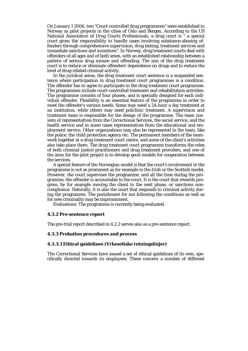On January 1 2006, two "Court-controlled drug programmes" were established in Norway as pilot projects in the cities of Oslo and Bergen. According to the US National Association of Drug Courts Professionals, a drug court is " a special court given the responsibility to handle cases involving substance-abusing offenders through comprehensive supervision, drug testing, treatment services and immediate sanctions and incentives". In Norway, drug treatment courts deal with offenders of all ages and of both sexes, with an established relationship between a pattern of serious drug misuse and offending. The aim of the drug treatment court is to reduce or eliminate offenders' dependence on drugs and to reduce the level of drug-related criminal activity.

 In the juridical sense, the drug treatment court sentence is a suspended sentence where participation in drug treatment court programmes is a condition. The offender has to agree to participate in the drug treatment court programme. The programmes include court-controlled treatment and rehabilitation activities. The programme consists of four phases, and is specially designed for each individual offender. Flexibility is an essential feature of the programme in order to meet the offender's various needs. Some may need a 24-hour a day treatment at an institution, while others may need policlinic treatment. A supervision and treatment team is responsible for the design of the programme. The team consists of representatives from the Correctional Services, the social service, and the health service and in some cases representatives from the educational and employment service. Other organizations may also be represented in the team, like the police, the child protection agency etc. The permanent members of the teamwork together at a drug treatment court centre, and some of the client's activities also take place there. The drug treatment court programme transforms the roles of both criminal justice practitioners and drug treatment providers, and one of the aims for the pilot project is to develop good models for cooperation between the services.

 A special feature of the Norwegian model is that the court's involvement in the programme is not as prominent as for example in the Irish or the Scottish model. However, the court supervises the programme, and all the time during the programme, the offender is accountable to the court. It is the court that rewards progress, by for example moving the client to the next phase, or sanctions noncompliance. Naturally, it is also the court that responds to criminal activity during the programme. The punishment for not following the conditions as well as for new criminality may be imprisonment.

Evaluations: The programme is currently being evaluated.

#### **4.3.2 Pre-sentence report**

The pre-trial report described in 4.2.2 serves also as a pre-sentence report.

#### **4.3.3 Probation procedures and process**

#### **4.3.3.1 Ethical guidelines (Yrkesetiske retningslinjer)**

The Correctional Services have issued a set of ethical guidelines of its own, specifically directed towards its employees. These concern a number of different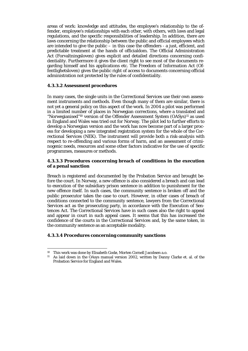areas of work: knowledge and attitudes, the employee's relationship to the offender, employee's relationships with each other, with others, with laws and legal regulations, and the specific responsibilities of leadership. In addition, there are laws concerning the relationship between the public and official employees which are intended to give the public – in this case the offenders - a just, efficient, and predictable treatment at the hands of officialdom. The Official Administration Act (Forvaltningsloven) gives explicit and detailed directions concerning confidentiality. Furthermore it gives the client right to see most of the documents regarding himself and his applications etc. The Freedom of Information Act (Offentlighetsloven) gives the public right of access to documents concerning official administration not protected by the rules of confidentiality.

## **4.3.3.2 Assessment procedures**

In many cases, the single units in the Correctional Services use their own assessment instruments and methods. Even though many of them are similar, there is not yet a general policy on this aspect of the work. In 2004 a pilot was performed in a limited number of places in Norwegian corrections, where a translated and "Norwegianised"10 version of the Offender Assessment System (OASys)11 as used in England and Wales was tried out for Norway. The pilot led to further efforts to develop a Norwegian version and the work has now become part of a larger process for developing a new integrated registration system for the whole of the Correctional Services (NEK). The instrument will provide both a risk-analysis with respect to re-offending and various forms of harm, and an assessment of criminogenic needs, resources and some other factors indicative for the use of specific programmes, measures or methods.

## **4.3.3.3 Procedures concerning breach of conditions in the execution of a penal sanction**

Breach is registered and documented by the Probation Service and brought before the court. In Norway, a new offence is also considered a breach and can lead to execution of the subsidiary prison sentence in addition to punishment for the new offence itself. In such cases, the community sentence is broken off and the public prosecutor takes the case to court. However, in other cases of breach of conditions connected to the community sentence, lawyers from the Correctional Services act as the prosecuting party, in accordance with the Execution of Sentences Act. The Correctional Services have in such cases also the right to appeal and appear in court in such appeal cases. It seems that this has increased the confidence of the courts in the Correctional Services and, by the same token, in the community sentence as an acceptable modality.

#### **4.3.3.4 Procedures concerning community sanctions**

1

<sup>10</sup> This work was done by Elisabeth Godø, Morten Cornell Jacobsen a.o.

<sup>11</sup> As laid down in the OAsys manual version 2002, written by Danny Clarke et. al. of the Probation Service for England and Wales.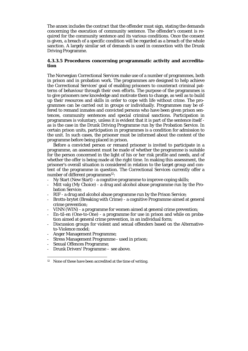The annex includes the contract that the offender must sign, stating the demands concerning the execution of community sentence. The offender's consent is required for the community sentence and its various conditions. Once the consent is given, a breach of a specific condition will be regarded as a breach of the whole sanction. A largely similar set of demands is used in connection with the Drunk Driving Programme.

## **4.3.3.5 Procedures concerning programmatic activity and accreditation**

The Norwegian Correctional Services make use of a number of programmes, both in prison and in probation work. The programmes are designed to help achieve the Correctional Services' goal of enabling prisoners to counteract criminal patterns of behaviour through their own efforts. The purpose of the programmes is to give prisoners new knowledge and motivate them to change, as well as to build up their resources and skills in order to cope with life without crime. The programmes can be carried out in groups or individually. Programmes may be offered to remand inmates and convicted persons who have been given prison sentences, community sentences and special criminal sanctions. Participation in programmes is voluntary, unless it is evident that it is part of the sentence itself as is the case in the Drunk Driving Programme run by the Probation Service. In certain prison units, participation in programmes is a condition for admission to the unit. In such cases, the prisoner must be informed about the content of the programme before being placed in prison.

 Before a convicted person or remand prisoner is invited to participate in a programme, an assessment must be made of whether the programme is suitable for the person concerned in the light of his or her risk profile and needs, and of whether the offer is being made at the right time. In making this assessment, the prisoner's overall situation is considered in relation to the target group and content of the programme in question. The Correctional Services currently offer a number of different programmes<sup>12</sup>:

- Ny Start (New Start) a cognitive programme to improve coping skills;
- Mitt valg (My Choice) a drug and alcohol abuse programme run by the Probation Service;
- RIF a drug and alcohol abuse programme run by the Prison Service;
- Brotts-brytet (Breaking with Crime) a cognitive Programme aimed at general crime prevention;
- VINN (WIN) a programme for women aimed at general crime prevention;
- En-til-en (One-to-One) a programme for use in prison and while on probation aimed at general crime prevention, in an individual form;
- Discussion groups for violent and sexual offenders based on the Alternativeto-Violence model;
- Anger Management Programme;
- Stress Management Programme used in prison;
- Sexual Offences Programme;

1

- Drunk Drivers' Programme – see above.

<sup>&</sup>lt;sup>12</sup> None of these have been accredited at the time of writing.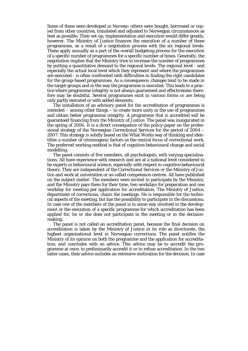Some of these were developed in Norway; others were bought, borrowed or copied from other countries, translated and adjusted to Norwegian circumstances as best as possible. Their set-up, implementation and execution would differ greatly, however. The Ministry of Justice finances the execution of a number of these programmes, as a result of a negotiation process with the six regional levels. These apply annually as a part of the overall budgeting process for the execution of a specific number of programmes for a specific number of times. Generally, the negotiation implies that the Ministry tries to increase the number of programmes by putting a quantitative demand to the regional levels. The regional level - and especially the actual local level which they represent and where the programmes are executed - is often confronted with difficulties in finding the right candidates for the group-based programmes. As a consequence, changes tend to be made in the target-groups and in the way the programme is executed. This leads to a practice where programme integrity is not always guaranteed and effectiveness therefore may be doubtful. Several programmes exist in various forms or are being only partly executed or with added elements.

 The installation of an advisory panel for the accreditation of programmes is intended – among other things – to create more unity in the use of programmes and obtain better programme integrity. A programme that is accredited will be guaranteed financing from the Ministry of Justice. The panel was inaugurated in the spring of 2006. It is a direct consequence of the policy-paper on the professional strategy of the Norwegian Correctional Services for the period of 2004 – 2007. This strategy is solidly based on the What Works way of thinking and identifies a number of criminogenic factors as the central focus of correctional work. The preferred working method is that of cognitive-behavioural change and social modelling.

 The panel consists of five members, all psychologists, with varying specialisations. All have experience with research and are at a national level considered to be experts in behavioural science, especially with respect to cognitive behavioural theory. They are independent of the Correctional Services or the Ministry of Justice and work at universities or so-called competence-centres. All have published on the subject matter. The members were invited to participate by the Ministry, and the Ministry pays them for their time, two workdays for preparation and one workday for meeting per application for accreditation. The Ministry of Justice, department of corrections, chairs the meetings. He is responsible for the technical aspects of the meeting, but has the possibility to participate in the discussions. In case one of the members of the panel is in some way involved in the development or the execution of a specific programme for which accreditation has been applied for, he or she does not participate in the meeting or in the decisionmaking.

 The panel is not called an accreditation panel, because the final decision on accreditation is taken by the Ministry of Justice in its role as directorate, the highest organisational level in Norwegian corrections. The panel notifies the Ministry of its opinion on both the programme and the application for accreditation, and concludes with an advice. This advice may be to accredit the programme at once, to preliminarily accredit it or to refuse accreditation. In the two latter cases, their advice includes an extensive motivation for the decision. In case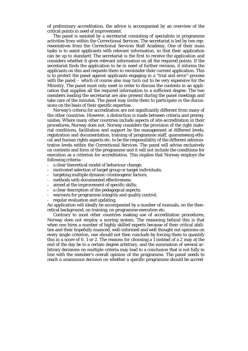of preliminary accreditation, the advice is accompanied by an overview of the critical points in need of improvement.

 The panel is assisted by a secretariat consisting of specialists in programme activities from within the Correctional Services. The secretariat is led by two representatives from the Correctional Services Staff Academy. One of their main tasks is to assist applicants with relevant information, so that their application can be up to standard. The secretariat is the first to receive the application and considers whether it gives relevant information on all the required points. If the secretariat finds the application to be in need of further revision, it informs the applicants on this and requests them to reconsider their current application. This is to protect the panel against applicants engaging in a "trial and error"-process with the panel – which of course also may turn out to be very expensive for the Ministry. The panel must only meet in order to discuss the contents in an application that supplies all the required information to a sufficient degree. The two members leading the secretariat are also present during the panel meetings and take care of the minutes. The panel may invite them to participate in the discussions on the basis of their specific expertise.

 Norway's criteria for accreditation are not significantly different from many of the other countries. However, a distinction is made between criteria and prerequisites. Where many other countries include aspects of site-accreditation in their procedures, Norway does not. Norway considers the provision of the right material conditions, facilitation and support by the management at different levels, registration and documentation, training of programme staff, guaranteeing ethical and human rights aspects etc. to be the responsibility of the different administrative levels within the Correctional Services. The panel will advise exclusively on contents and form of the programme and it will not include the conditions for execution as a criterion for accreditation. This implies that Norway employs the following criteria:

- a clear theoretical model of behaviour change;
- motivated selection of target group or target individuals;
- targeting multiple dynamic criminogenic factors;
- methods with documented effectiveness;
- aimed at the improvement of specific skills;
- a clear description of the pedagogical aspects;
- warrants for programme integrity and quality control;
- regular evaluation and updating.

An application will ideally be accompanied by a number of manuals, on the theoretical background, on training, on programme execution etc.

 Contrary to most other countries making use of accreditation procedures, Norway does not employ a scoring system. The reasoning behind this is that when one hires a number of highly skilled experts because of their critical abilities and their hopefully nuanced, well-informed and well thought out opinions on every single criterion, one should not then conclude by forcing them to quantify this in a score of 0, 1 or 2. The reasons for choosing a 1 instead of a 2 may at the end of the day be to a certain degree arbitrary, and the summation of several arbitrary decisions on multiple criteria may lead to a conclusion that is not fully in line with the member's overall opinion of the programme. The panel needs to reach a unanimous decision on whether a specific programme should be accred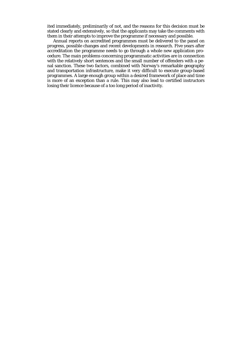ited immediately, preliminarily of not, and the reasons for this decision must be stated clearly and extensively, so that the applicants may take the comments with them in their attempts to improve the programme if necessary and possible.

 Annual reports on accredited programmes must be delivered to the panel on progress, possible changes and recent developments in research. Five years after accreditation the programme needs to go through a whole new application procedure. The main problems concerning programmatic activities are in connection with the relatively short sentences and the small number of offenders with a penal sanction. These two factors, combined with Norway's remarkable geography and transportation infrastructure, make it very difficult to execute group-based programmes. A large enough group within a desired framework of place and time is more of an exception than a rule. This may also lead to certified instructors losing their licence because of a too long period of inactivity.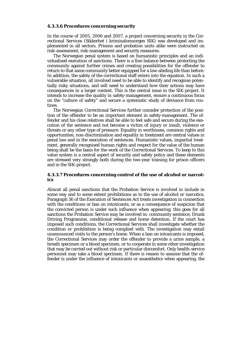#### **4.3.3.6 Procedures concerning security**

In the course of 2005, 2006 and 2007, a project concerning security in the Correctional Services (Sikkerhet i kriminalomsorgen SIK) was developed and implemented in all sectors. Prisons and probation units alike were instructed on risk-assessment, risk-management and security measures.

 The Norwegian penal system is based on humanistic principles and an individualised execution of sanctions. There is a fine balance between protecting the community against further crimes and creating possibilities for the offender to return to that same community better equipped for a law-abiding life than before. In addition, the safety of the correctional staff enters into the equation. In such a vulnerable situation, all involved need to be able to identify and recognise potentially risky situations, and will need to understand how their actions may have consequences in a larger context. This is the central issue in the SIK-project. It intends to increase the quality in safety-management, ensure a continuous focus on the "culture of safety" and secure a systematic study of deviance from routines.

 The Norwegian Correctional Services further consider protection of the position of the offender to be an important element in safety-management. The offender and his close relatives shall be able to feel safe and secure during the execution of the sentence and not become a victim of injury or insult, violence or threats or any other type of pressure. Equality in worthiness, common rights and opportunities, non-discrimination and equality in treatment are central values in penal law and in the execution of sentences. Humanistic values, impartial treatment, generally recognised human rights and respect for the value of the human being shall be the basis for the work of the Correctional Services. To keep to this value system is a central aspect of security and safety policy and these elements are stressed very strongly both during the two-year training for prison officers and in the SIK-project.

#### **4.3.3.7 Procedures concerning control of the use of alcohol or narcotics**

Almost all penal sanctions that the Probation Service is involved in include in some way and to some extent prohibitions as to the use of alcohol or narcotics. Paragraph 56 of the Execution of Sentences Act treats investigation in connection with the conditions or ban on intoxicants, or as a consequence of suspicion that the convicted person is under such influence when appearing; this goes for all sanctions the Probation Service may be involved in: community sentence, Drunk Driving Programme, conditional release and home detention. If the court has imposed such conditions, the Correctional Services shall investigate whether the condition or prohibition is being complied with. The investigation may entail unannounced visits to the person's home. When a ban on intoxicants is imposed, the Correctional Services may order the offender to provide a urine sample, a breath specimen or a blood specimen, or to cooperate in some other investigation that may be carried out without risk or particular discomfort. Only health-service personnel may take a blood specimen. If there is reason to assume that the offender is under the influence of intoxicants or anaesthetics when appearing, the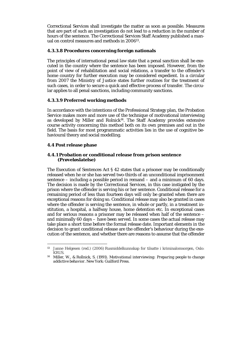Correctional Services shall investigate the matter as soon as possible. Measures that are part of such an investigation do not lead to a reduction in the number of hours of the sentence. The Correctional Services Staff Academy published a manual on control measures and methods in 200613.

# **4.3.3.8 Procedures concerning foreign nationals**

The principles of international penal law state that a penal sanction shall be executed in the country where the sentence has been imposed. However, from the point of view of rehabilitation and social relations, a transfer to the offender's home country for further execution may be considered expedient. In a circular from 2007 the Ministry of Justice states further routines for the treatment of such cases, in order to secure a quick and effective process of transfer. The circular applies to all penal sanctions, including community sanctions.

# **4.3.3.9 Preferred working methods**

In accordance with the intentions of the Professional Strategy plan, the Probation Service makes more and more use of the technique of motivational interviewing as developed by Miller and Rolnick $14$ . The Staff Academy provides extensive course activity concerning this method both on its own premises and out in the field. The basis for most programmatic activities lies in the use of cognitive behavioural theory and social modelling.

# **4.4 Post release phase**

# **4.4.1 Probation or conditional release from prison sentence (Prøveløslatelse)**

The Execution of Sentences Act § 42 states that a prisoner may be conditionally released when he or she has served two-thirds of an unconditional imprisonment sentence – including a possible period in remand – and a minimum of 60 days. The decision is made by the Correctional Services, in this case instigated by the prison where the offender is serving his or her sentence. Conditional release for a remaining period of less than fourteen days will only be granted when there are exceptional reasons for doing so. Conditional release may also be granted in cases where the offender is serving the sentence, in whole or partly, in a treatment institution, a hospital, a halfway house, home detention etc. In exceptional cases and for serious reasons a prisoner may be released when half of the sentence – and minimally 60 days – have been served. In some cases the actual release may take place a short time before the formal release date. Important elements in the decision to grant conditional release are the offender's behaviour during the execution of the sentence, and whether there are reasons to assume that the offender

<sup>1</sup> 13 Janne Helgesen (red.) (2006) Rusmiddelkunnskap for tilsatte i kriminalomsorgen, Oslo: KRUS.

<sup>14</sup> Miller, W., & Rollnick, S. (1991). *Motivational interviewing: Preparing people to change addictive behavior*. New York: Guilford Press.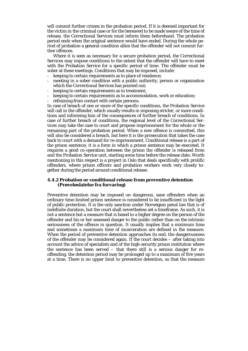will commit further crimes in the probation period. If it is deemed important for the victim in the criminal case or for the bereaved to be made aware of the time of release, the Correctional Services must inform them beforehand. The probation period ends when the original sentence would have ended. During the whole period of probation a general condition allies that the offender will not commit further offences.

 Where it is seen as necessary for a secure probation period, the Correctional Services may impose conditions to the extent that the offender will have to meet with the Probation Service for a specific period of time. The offender must be sober at these meetings. Conditions that may be imposed, include:

- keeping to certain requirements as to place of residence;
- meeting in a sober condition with a public authority, person or organisation which the Correctional Services has pointed out;
- keeping to certain requirements as to treatment;
- keeping to certain requirements as to accommodation, work or education;
- refraining from contact with certain persons.

In case of breach of one or more of the specific conditions, the Probation Service will call in the offender, which usually results in imposing stricter, or more conditions and informing him of the consequences of further breach of conditions. In case of further breach of conditions, the regional level of the Correctional Services may take the case to court and propose imprisonment for the whole or the remaining part of the probation period. When a new offence is committed, this will also be considered a breach, but here it is the prosecution that takes the case back to court with a demand for re-imprisonment. Conditional release is a part of the prison sentence; it is a form in which a prison sentence may be executed. It requires a good co-operation between the prison the offender is released from and the Probation Service unit, starting some time before the release date. Worth mentioning in this respect is a project in Oslo that deals specifically with prolific offenders, where prison officers and probation workers work very closely together during the period around conditional release.

#### **4.4.2 Probation or conditional release from preventive detention (Prøveløslatelse fra forvaring)**

Preventive detention may be imposed on dangerous, sane offenders when an ordinary time-limited prison sentence is considered to be insufficient in the light of public protection. It is the only sanction under Norwegian penal law that is of indefinite duration, but the court shall nevertheless set a timeframe. As such, it is not a sentence but a measure that is based to a higher degree on the person of the offender and his or her assessed danger to the public rather than on the intrinsic seriousness of the offence in question. It usually implies that a minimum time and sometimes a maximum time of incarceration are defined in the measure. When the period of preventive detention approaches its end, the dangerousness of the offender may be considered again. If the court decides – after taking into account the advice of specialists and of the high-security prison institution where the sentence has been served – that there still is a serious danger for reoffending, the detention period may be prolonged up to a maximum of five years at a time. There is no upper limit to preventive detention, so that the measure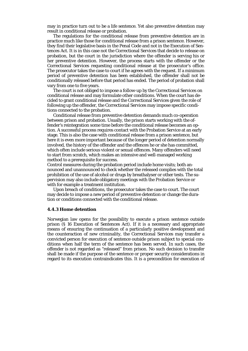may in practice turn out to be a life sentence. Yet also preventive detention may result in conditional release or probation.

 The regulations for the conditional release from preventive detention are in practice much like those for conditional release from a prison sentence. However, they find their legislative basis in the Penal Code and not in the Execution of Sentences Act. It is in this case not the Correctional Services that decide to release on probation, but the court in the jurisdiction where the offender is serving his or her preventive detention. However, the process starts with the offender or the Correctional Services requesting conditional release at the prosecutor's office. The prosecutor takes the case to court if he agrees with the request. If a minimum period of preventive detention has been established, the offender shall not be conditionally released before that period has ended. The period of probation shall vary from one to five years.

 The court is not obliged to impose a follow-up by the Correctional Services on conditional release and may formulate other conditions. When the court has decided to grant conditional release and the Correctional Services given the role of following up the offender, the Correctional Services may impose specific conditions connected to the probation.

 Conditional release from preventive detention demands much co-operation between prison and probation. Usually, the prison starts working with the offender's reintegration some time before the conditional release becomes an option. A successful process requires contact with the Probation Service at an early stage. This is also the case with conditional release from a prison sentence, but here it is even more important because of the longer period of detention normally involved, the history of the offender and the offences he or she has committed, which often include serious violent or sexual offences. Many offenders will need to start from scratch, which makes an intensive and well-managed working method to a prerequisite for success.

Control measures during the probation period include home visits; both announced and unannounced to check whether the released complies with the total prohibition of the use of alcohol or drugs by breathalyser or other tests. The supervision may also include obligatory meetings with the Probation Service or with for example a treatment institution.

 Upon breach of conditions, the prosecutor takes the case to court. The court may decide to impose a new period of preventive detention or change the duration or conditions connected with the conditional release.

#### **4.4.3 Home detention**

Norwegian law opens for the possibility to execute a prison sentence outside prison (§ 16 Execution of Sentences Act). If it is a necessary and appropriate means of ensuring the continuation of a particularly positive development and the counteraction of new criminality, the Correctional Services may transfer a convicted person for execution of sentence outside prison subject to special conditions when half the term of the sentence has been served. In such cases, the offender is not regarded as "released" from prison. No such decision to transfer shall be made if the purpose of the sentence or proper security considerations in regard to its execution contraindicates this. It is a precondition for execution of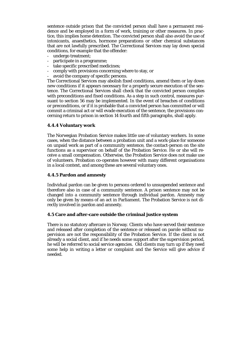sentence outside prison that the convicted person shall have a permanent residence and be employed in a form of work, training or other measures. In practice, this implies home detention. The convicted person shall also avoid the use of intoxicants, anaesthetics, hormone preparations or other chemical substances that are not lawfully prescribed. The Correctional Services may lay down special conditions, for example that the offender:

- undergo treatment;
- participate in a programme;
- take specific prescribed medicines;
- comply with provisions concerning where to stay, or
- avoid the company of specific persons.

The Correctional Services may abolish fixed conditions, amend them or lay down new conditions if it appears necessary for a properly secure execution of the sentence. The Correctional Services shall check that the convicted person complies with preconditions and fixed conditions. As a step in such control, measures pursuant to section 56 may be implemented. In the event of breaches of conditions or preconditions, or if it is probable that a convicted person has committed or will commit a criminal act or will evade execution of the sentence, the provisions concerning return to prison in section 14 fourth and fifth paragraphs, shall apply.

# **4.4.4 Voluntary work**

The Norwegian Probation Service makes little use of voluntary workers. In some cases, when the distance between a probation unit and a work-place for someone on unpaid work as part of a community sentence, the contact-person on the site functions as a supervisor on behalf of the Probation Service. He or she will receive a small compensation. Otherwise, the Probation Service does not make use of volunteers. Probation co-operates however with many different organisations in a local context, and among these are several voluntary ones.

# **4.4.5 Pardon and amnesty**

Individual pardon can be given to persons ordered to unsuspended sentence and therefore also in case of a community sentence. A prison sentence may not be changed into a community sentence through individual pardon. Amnesty may only be given by means of an act in Parliament. The Probation Service is not directly involved in pardon and amnesty.

# **4.5 Care and after-care outside the criminal justice system**

There is no statutory aftercare in Norway. Clients who have served their sentence and released after completion of the sentence or released on parole without supervision are not the responsibility of the Probation Service. If the client is not already a social client, and if he needs some support after the supervision period, he will be referred to social service agencies. Old clients may turn up if they need some help in writing a letter or complaint and the Service will give advice if needed.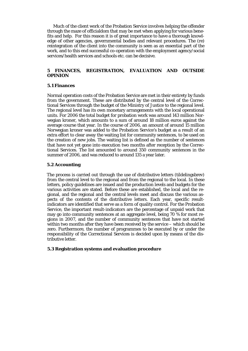Much of the client work of the Probation Service involves helping the offender through the maze of officialdom that may be met when applying for various benefits and help. For this reason it is of great importance to have a thorough knowledge of other agencies, governmental bodies and relevant procedures. The (re) reintegration of the client into the community is seen as an essential part of the work, and to this end successful co-operation with the employment agency/social services/health services and schools etc. can be decisive.

# **5 FINANCES, REGISTRATION, EVALUATION AND OUTSIDE OPINION**

## **5.1 Finances**

Normal operation costs of the Probation Service are met in their entirety by funds from the government. These are distributed by the central level of the Correctional Services through the budget of the Ministry of Justice to the regional level. The regional level has its own monetary arrangements with the local operational units. For 2006 the total budget for probation work was around 143 million Norwegian kroner, which amounts to a sum of around 18 million euros against the average course that year. In the course of 2006, an amount of around 15 million Norwegian kroner was added to the Probation Service's budget as a result of an extra effort to clear away the waiting list for community sentences, to be used on the creation of new jobs. The waiting list is defined as the number of sentences that have not yet gone into execution two months after reception by the Correctional Services. The list amounted to around 350 community sentences in the summer of 2006, and was reduced to around 135 a year later.

# **5.2 Accounting**

The process is carried out through the use of distributive letters (tildelingsbrev) from the central level to the regional and from the regional to the local. In these letters, policy guidelines are issued and the production levels and budgets for the various activities are stated. Before these are established, the local and the regional, and the regional and the central levels meet and discuss the various aspects of the contents of the distributive letters. Each year, specific resultindicators are identified that serve as a form of quality control. For the Probation Service, the important result-indicators are the percentage of unpaid work that may go into community sentences at an aggregate level, being 70 % for most regions in 2007, and the number of community sentences that have not started within two months after they have been received by the service – which should be zero. Furthermore, the number of programmes to be executed by or under the responsibility of the Correctional Services is decided upon by means of the distributive letter.

#### **5.3 Registration systems and evaluation procedure**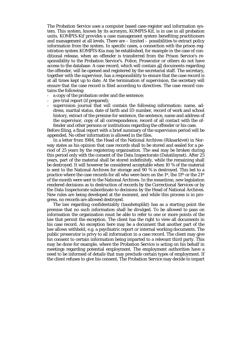The Probation Service uses a computer based case-register and information system. This system, known by its acronym, KOMPIS-Kif, is in use in all probation units. KOMPIS-Kif provides a case management system benefiting practitioners and management at all levels. There are – limited – possibilities to extract policy information from the system. In specific cases, a connection with the prison registration system KOMPIS-Kia may be established, for example in the case of conditional release, when an offender is transferred from the Prison Service's responsibility to the Probation Service's. Police, Prosecutor or others do not have access to the database. A case record, which will contain all documents regarding the offender, will be opened and registered by the secretarial staff. The secretary, together with the supervisor, has a responsibility to ensure that the case record is at all times kept up to date. At the termination of supervision, the secretary will ensure that the case record is filed according to directives. The case record contains the following:

- a copy of the probation order and the sentence;
- pre-trial report (if prepared);
- supervision journal that will contain the following information: name, address, marital status, date of birth and ID number, record of work and school history, extract of the premise for sentence, the sentence, name and address of the supervisor, copy of all correspondence, record of all contact with the offender and other persons or institutions regarding the offender or his case.

Before filing, a final report with a brief summary of the supervision period will be appended. No other information is allowed in the files.

 In a letter from 1984, the Head of the National Archives (Riksarkivet) in Norway states as his opinion that case records shall to be stored and sealed for a period of 25 years by the registering organisation. The seal may be broken during this period only with the consent of the Data Inspectorate (Datatilsynet). After 25 years, part of the material shall be stored indefinitely, while the remaining shall be destroyed. It will however be considered acceptable when 10 % of the material is sent to the National Archives for storage and 90 % is destroyed. This led to a practice where the case records for all who were born on the 1st, the 11th or the 21st of the month were sent to the National Archives. In the meantime, new legislation rendered decisions as to destruction of records by the Correctional Services or by the Data Inspectorate subordinate to decisions by the Head of National Archives. New rules are being developed at the moment, and while this process is in progress, no records are allowed destroyed.

 The law regarding confidentiality (taushetsplikt) has as a starting point the premise that no such information shall be divulged. To be allowed to pass on information the organisation must be able to refer to one or more points of the law that permit the exception. The client has the right to view all documents in his case record. An exception here may be a document that another part of the law allows withheld, e.g. a psychiatric report or internal working documents. The public prosecutor is privy to all information in a case record. The client may give his consent to certain information being imparted to a relevant third party. This may be done for example, where the Probation Service is acting on his behalf in meetings regarding potential employment. The employment authorities have a need to be informed of details that may preclude certain types of employment. If the client refuses to give his consent, The Probation Service may decide to impart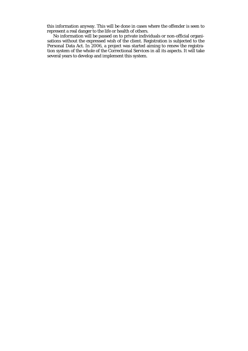this information anyway. This will be done in cases where the offender is seen to represent a real danger to the life or health of others.

 No information will be passed on to private individuals or non-official organisations without the expressed wish of the client. Registration is subjected to the Personal Data Act. In 2006, a project was started aiming to renew the registration system of the whole of the Correctional Services in all its aspects. It will take several years to develop and implement this system.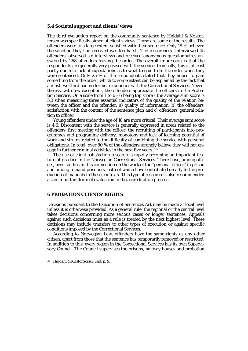#### **5.4 Societal support and clients' views**

The third evaluation report on the community sentence by Højdahl & Kristoffersen was specifically aimed at client's views. These are some of the results: The offenders were to a large extent satisfied with their sentence. Only 18 % believed the sanction they had received was too harsh. The researchers "interviewed 45 offenders, observed six interviews and received anonymous questionnaires answered by 268 offenders leaving the order. The overall impression is that the respondents are generally very pleased with the service. Ironically, this is at least partly due to a lack of expectations as to what to gain from the order when they were sentenced. Only 25 % of the respondents stated that they hoped to gain something from the order, which to some extent can be explained by the fact that almost two third had no former experience with the Correctional Services. Nevertheless, with few exceptions, the offenders appreciate the officers in the Probation Service. On a scale from 1 to 6 - 6 being top score - the average sum score is 5.3 when measuring three essential indicators of the quality of the relation between the officer and the offender: a) quality of information, b) the offenders' satisfaction with the content of the sentence plan and c) offenders' general relation to officer.

 Young offenders under the age of 18 are more critical. Their average sum score is 4.6. Discontent with the service is generally expressed in areas related to the offenders' first meeting with the officer, the recruiting of participants into programmes and programme delivery, monotony and lack of learning potential of work and strains related to the difficulty of combining the service with personal obligations. In total, over 80 % of the offenders strongly believe they will not engage in further criminal activities in the next five years."15

The use of client satisfaction research is rapidly becoming an important feature of practice in the Norwegian Correctional Services. There have, among others, been studies in this connection on the work of the "personal officer" in prison and among remand prisoners, both of which have contributed greatly to the production of manuals in these contexts. This type of research is also recommended as an important form of evaluation in the accreditation process.

## **6 PROBATION CLIENTS' RIGHTS**

Decisions pursuant to the Execution of Sentences Act may be made at local level unless it is otherwise provided. As a general rule, the regional or the central level takes decisions concerning more serious cases or longer sentences. Appeals against such decisions must as a rule is treated by the next highest level. These decisions may include transfers to other types of execution or against specific conditions imposed by the Correctional Services.

 According to Norwegian Law, offenders have the same rights as any other citizen, apart from those that the sentence has temporarily removed or restricted. In addition to this, every region in the Correctional Services has its own Supervisory Council. The Council supervises the prisons, halfway houses and probation

1

<sup>15</sup> Højdahl & Kristoffersen, ibid. p. 9.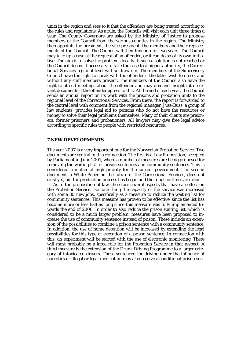units in the region and sees to it that the offenders are being treated according to the rules and regulations. As a rule, the Councils will visit each unit three times a year. The County Governors are asked by the Ministry of Justice to propose members of the Council from the various counties in the region. The Ministry then appoints the president, the vice-president, the members and their replacements of the Council. The Council will then function for two years. The Council may take up a case at the request of an offender, or it can do so of its own initiative. The aim is to solve the problems locally. If such a solution is not reached or the Council deems it necessary to take the case to a higher authority, the Correctional Services regional level will be drawn in. The members of the Supervisory Council have the right to speak with the offender if the latter wish to do so, and without any staff members present. The members of the Council also have the right to attend meetings about the offender and may demand insight into relevant documents if the offender agrees to this. At the end of each year, the Council sends an annual report on its work with the prisons and probation units to the regional level of the Correctional Services. From there, the report is forwarded to the central level with comment from the regional manager. Juss-Buss, a group of law students, provides legal aid to persons who do not have the resources or money to solve their legal problems themselves. Many of their clients are prisoners, former prisoners and probationers. All lawyers may give free legal advice according to specific rules to people with restricted resources.

#### **7 NEW DEVELOPMENTS**

The year 2007 is a very important one for the Norwegian Probation Service. Two documents are central in this connection. The first is a Law Proposition, accepted by Parliament in June 2007, where a number of measures are being proposed for removing the waiting list for prison sentences and community sentences. This is considered a matter of high priority for the current government. The second document, a White Paper on the future of the Correctional Services, does not exist yet, but the production process has begun and the rough outlines are clear.

 As to the proposition of law, there are several aspects that have an effect on the Probation Service. For one thing the capacity of the service was increased with some 30 new jobs, specifically as a measure to reduce the waiting list for community sentences. This measure has proven to be effective, since the list has become more or less half as long since this measure was fully implemented towards the end of 2006. In order to also reduce the prison waiting list, which is considered to be a much larger problem, measures have been proposed to increase the use of community sentence instead of prison. These include an extension of the possibilities to combine a prison sentence with a community sentence. In addition, the use of home detention will be increased by extending the legal possibilities for this type of execution of a prison sentence. In connection with this, an experiment will be started with the use of electronic monitoring. There will most probably be a large role for the Probation Service in that respect. A third measure is the extension of the Drunk Driving Programme to a larger category of intoxicated drivers. Those sentenced for driving under the influence of narcotics or illegal or legal medication may also receive a conditional prison sen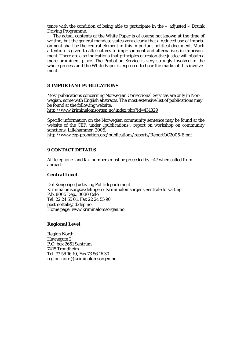tence with the condition of being able to participate in the – adjusted – Drunk Driving Programme.

 The actual contents of the White Paper is of course not known at the time of writing, but the general mandate states very clearly that a reduced use of imprisonment shall be the central element in this important political document. Much attention is given to alternatives to imprisonment and alternatives in imprisonment. There are also indications that principles of restorative justice will obtain a more prominent place. The Probation Service is very strongly involved in the whole process and the White Paper is expected to bear the marks of this involvement.

# **8 IMPORTANT PUBLICATIONS**

Most publications concerning Norwegian Correctional Services are only in Norwegian, some with English abstracts. The most extensive list of publications may be found at the following website:

http://www.kriminalomsorgen.no/index.php?id=431829

Specific information on the Norwegian community sentence may be found at the website of the CEP, under "publications": report on workshop on community sanctions, Lillehammer, 2005.

http://www.cep-probation.org/publications/reports/ReportOC2005-E.pdf

# **9 CONTACT DETAILS**

All telephone- and fax-numbers must be preceded by +47 when called from abroad.

#### **Central Level**

Det Kongelige Justis- og Politidepartement Kriminalomsorgsavdelingen / Kriminalomsorgens Sentrale forvalting P.b. 8005 Dep., 0030 Oslo Tel. 22 24 55 01, Fax 22 24 55 90 postmottak@jd.dep.no Home page: www.kriminalomsorgen.no

#### **Regional Level**

Region North Havnegate 2 P.O. box 2651 Sentrum 7415 Trondheim Tel. 73 56 16 10, Fax 73 56 16 30 region-nord@kriminalomsorgen.no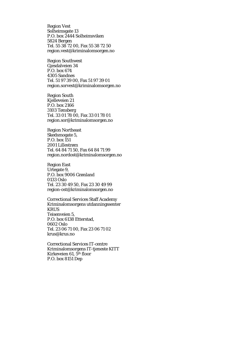Region Vest Solheimsgate 13 P.O. box 2444 Solheimsviken 5824 Bergen Tel. 55 38 72 00, Fax 55 38 72 50 region.vest@kriminalomsorgen.no

Region Southwest Gjesdalveien 34 P.O. box 674 4305 Sandnes Tel. 51 97 39 00, Fax 51 97 39 01 region.sorvest@kriminalomsorgen.no

Region South Kjelleveien 21 P.O. box 2166 3103 Tønsberg Tel. 33 01 78 00, Fax 33 01 78 01 region.sor@kriminalomsorgen.no

Region Northeast Skedsmogate 5, P.O. box 151 2001 Lillestrøm Tel. 64 84 71 50, Fax 64 84 71 99 region.nordost@kriminalomsorgen.no

Region East Urtegate 9, P.O. box 9006 Grønland 0133 Oslo Tel. 23 30 49 50, Fax 23 30 49 99 region-ost@kriminalomsorgen.no

Correctional Services Staff Academy Kriminalomsorgens utdanningssenter **KRUS** Teisenveien 5, P.O. box 6138 Etterstad, 0602 Oslo Tel. 23 06 71 00, Fax 23 06 71 02 krus@krus.no

Correctional Services IT-centre Kriminalomsorgens IT-tjeneste KITT Kirkeveien 61, 5th floor P.O. box 8151 Dep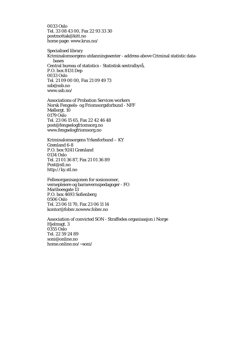0033 Oslo Tel. 33 08 43 00, Fax 22 93 33 30 postmottak@kitt.no home page: www.krus.no/

Specialised library Kriminalomsorgens utdanningssenter - address above Criminal statistic databases Central bureau of statistics - Statistisk sentralbyrå, P.O. box 8131 Dep 0033 Oslo Tel. 21 09 00 00, Fax 21 09 49 73 ssb@ssb.no www.ssb.no/

Associations of Probation Services workers Norsk Fengsels- og Friomsorgsforbund - NFF Møllergt. 10 0179 Oslo Tel. 23 06 15 65, Fax 22 42 46 48 post@fengselogfriomsorg.no www.fengselogfriomsorg.no

Kriminalomsorgens Yrkesforbund – KY Grønland 6-8 P.O. box 9241 Grønland 0134 Oslo Tel. 21 01 36 87, Fax 21 01 36 89 Post@stl.no http://ky.stl.no

Fellesorganisasjonen for sosionomer, vernepleiere og barnevernspedagoger - FO Mariboesgate 13 P.O. box 4693 Sofienberg 0506 Oslo Tel. 23 06 11 70, Fax 23 06 11 14 kontor@fobsv.nowww.fobsv.no

Association of convicted SON - Straffedes organisasjon i Norge Hjelmsgt. 3 0355 Oslo Tel. 22 59 24 89 soni@online.no home.online.no/~soni/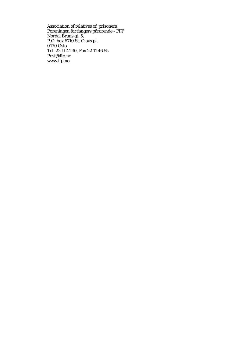Association of relatives of prisoners Foreningen for fangers pårørende - FFP Nordal Bruns gt. 5, P.O. box 6710 St. Olavs pl, 0130 Oslo Tel. 22 11 41 30, Fax 22 11 46 55 Post@ffp.no www.ffp.no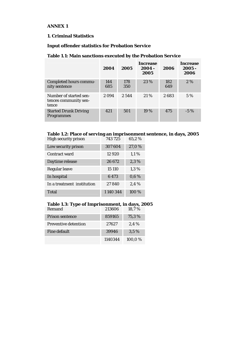# **ANNEX 1**

# **1. Criminal Statistics**

# **Input offender statistics for Probation Service**

# **Table 1.1: Main sanctions executed by the Probation Service**

|                                                          | 2004       | 2005       | Increase<br>$2004 -$<br>2005 | 2006       | Increase<br>$2005 -$<br>2006 |
|----------------------------------------------------------|------------|------------|------------------------------|------------|------------------------------|
| <b>Completed hours commu-</b><br>nity sentence           | 144<br>685 | 178<br>350 | 23 %                         | 182<br>649 | 2%                           |
| Number of started sen-<br>tences community sen-<br>tence | 2 0 9 4    | 2.544      | 21%                          | 2683       | 5 %                          |
| <b>Started Drunk Driving</b><br><b>Programmes</b>        | 421        | 501        | 19 %                         | 475        | $-5\%$                       |

#### **Table 1.2: Place of serving an imprisonment sentence, in days, 2005**

| <b>High security prison</b> | 743725  | 65,2% |
|-----------------------------|---------|-------|
| Low security prison         | 307604  | 27,0% |
| Contract ward               | 12 9 20 | 1,1%  |
| Daytime release             | 26 672  | 2,3%  |
| Regular leave               | 15 110  | 1,3%  |
| In hospital                 | 6473    | 0,6%  |
| In a treatment institution  | 27840   | 2,4%  |
| <b>Total</b>                | 1140344 | 100 % |

# **Table 1.3: Type of Imprisonment, in days, 2005**

| Remand                      | 213606  | 18,7%   |
|-----------------------------|---------|---------|
| <b>Prison sentence</b>      | 859165  | 75,3%   |
| <b>Preventive detention</b> | 27627   | 2.4%    |
| Fine default                | 39946   | $3.5\%$ |
|                             | 1140344 | 100.0%  |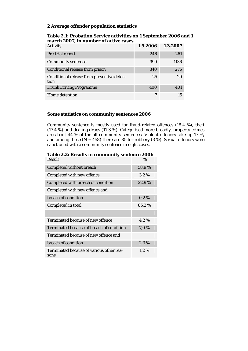# **2 Average offender population statistics**

| Table 2.1: Probation Service activities on 1 September 2006 and 1 |
|-------------------------------------------------------------------|
| march 2007, in number of active cases                             |

| <b>Activity</b>                                    | 1.9.2006 | 1.3.2007 |
|----------------------------------------------------|----------|----------|
| Pre-trial report                                   | 246      | 261      |
| <b>Community sentence</b>                          | 999      | 1136     |
| Conditional release from prison                    | 340      | 276      |
| Conditional release from preventive deten-<br>tion | 25       | 29       |
| <b>Drunk Driving Programme</b>                     | 400      | 401      |
| Home detention                                     | 7        | 15       |

# **Some statistics on community sentences 2006**

Community sentence is mostly used for fraud-related offences (18.4 %), theft (17.4 %) and dealing drugs (17.3 %). Categorised more broadly, property crimes are about 44 % of the all community sentences. Violent offences take up 17 %, and among these  $(N = 458)$  there are 85 for robbery (3 %). Sexual offences were sanctioned with a community sentence in eight cases.

| <b>Result</b>                                    | $\%$    |
|--------------------------------------------------|---------|
| <b>Completed without breach</b>                  | 58,9%   |
| Completed with new offence                       | 3,2%    |
| Completed with breach of condition               | 22,9%   |
| Completed with new offence and                   |         |
| breach of condition                              | $0.2\%$ |
| Completed in total                               | 85,2%   |
|                                                  |         |
| Terminated because of new offence                | 4,2%    |
| Terminated because of breach of condition        | 7,0%    |
| Terminated because of new offence and            |         |
| breach of condition                              | 2,3%    |
| Terminated because of various other rea-<br>sons | 1,2%    |
|                                                  |         |

# **Table 2.2: Results in community sentence 2006**